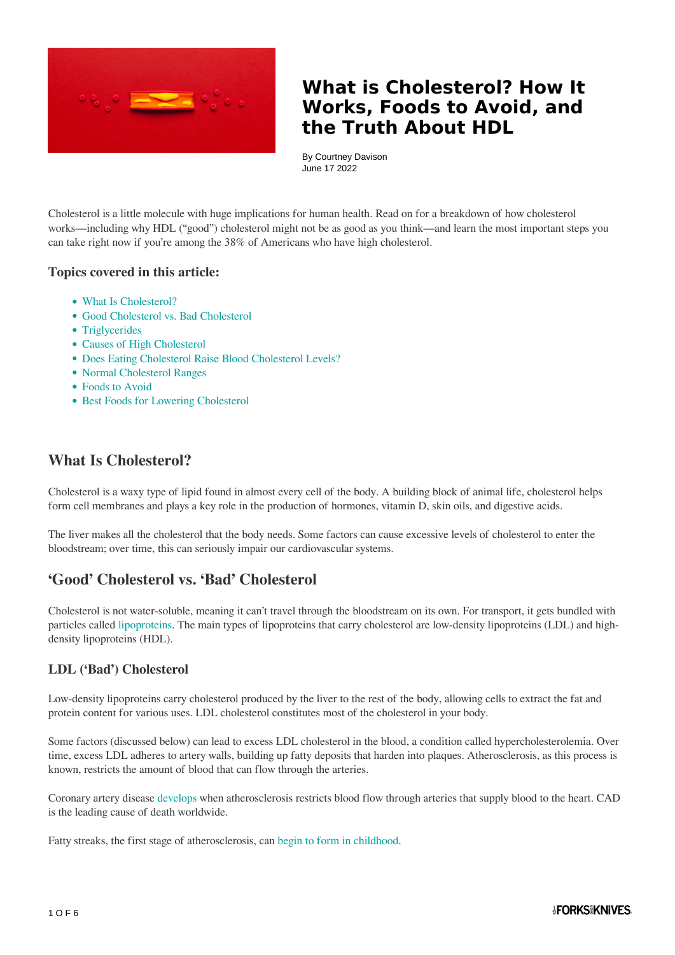

By Courtney Davison June 17 2022

Cholesterol is a little molecule with huge implications for human health. Read on for a breakdown of how cholesterol works—including why HDL ("good") cholesterol might not be as good as you think—and learn the most important steps you can take right now if you're among the 38% of Americans who have high cholesterol.

#### **Topics covered in this article:**

- What Is Cholesterol?
- Good Cholesterol vs. Bad Cholesterol
- Triglycerides
- Causes of High Cholesterol
- Does Eating Cholesterol Raise Blood Cholesterol Levels?
- Normal Cholesterol Ranges
- Foods to Avoid
- Best Foods for Lowering Cholesterol

## **What Is Cholesterol?**

Cholesterol is a waxy type of lipid found in almost every cell of the body. A building block of animal life, cholesterol helps form cell membranes and plays a key role in the production of hormones, vitamin D, skin oils, and digestive acids.

The liver makes all the cholesterol that the body needs. Some factors can cause excessive levels of cholesterol to enter the bloodstream; over time, this can seriously impair our cardiovascular systems.

## **'Good' Cholesterol vs. 'Bad' Cholesterol**

Cholesterol is not water-soluble, meaning it can't travel through the bloodstream on its own. For transport, it gets bundled with particles called [lipoproteins.](https://www.sciencedirect.com/science/article/pii/B9780123849472004220) The main types of lipoproteins that carry cholesterol are low-density lipoproteins (LDL) and highdensity lipoproteins (HDL).

#### **LDL ('Bad') Cholesterol**

Low-density lipoproteins carry cholesterol produced by the liver to the rest of the body, allowing cells to extract the fat and protein content for various uses. LDL cholesterol constitutes most of the cholesterol in your body.

Some factors (discussed below) can lead to excess LDL cholesterol in the blood, a condition called hypercholesterolemia. Over time, excess LDL adheres to artery walls, building up fatty deposits that harden into plaques. Atherosclerosis, as this process is known, restricts the amount of blood that can flow through the arteries.

Coronary artery disease [develops](https://onlinelibrary.wiley.com/doi/10.1111/j.2040-1124.2012.00200.x) when atherosclerosis restricts blood flow through arteries that supply blood to the heart. CAD is the leading cause of death worldwide.

Fatty streaks, the first stage of atherosclerosis, can [begin to form in childhood.](https://www.ncbi.nlm.nih.gov/pmc/articles/PMC2812791/)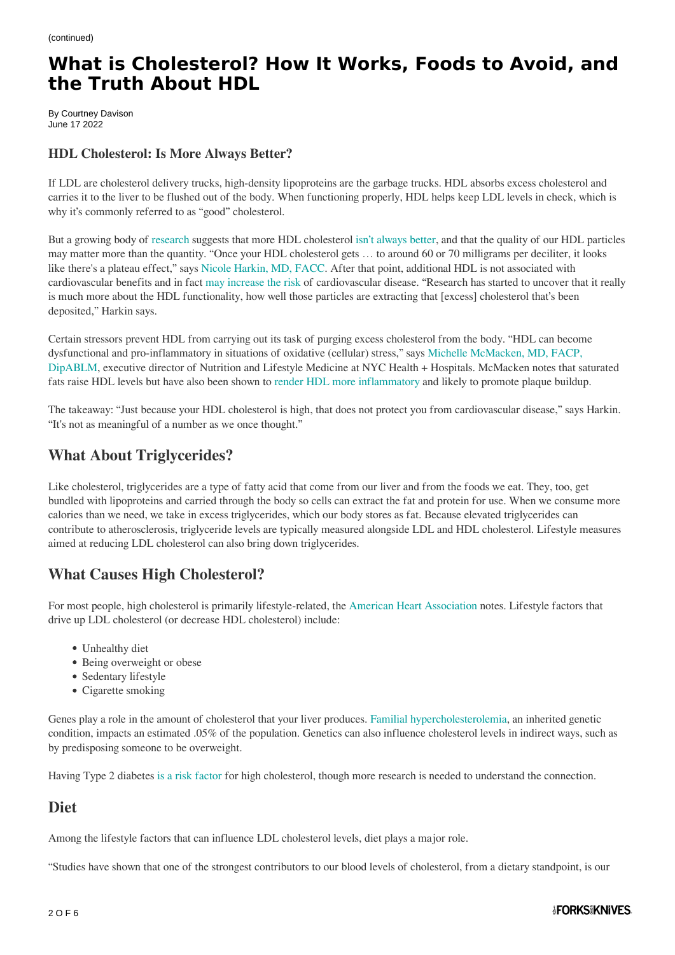By Courtney Davison June 17 2022

#### **HDL Cholesterol: Is More Always Better?**

If LDL are cholesterol delivery trucks, high-density lipoproteins are the garbage trucks. HDL absorbs excess cholesterol and carries it to the liver to be flushed out of the body. When functioning properly, HDL helps keep LDL levels in check, which is why it's commonly referred to as "good" cholesterol.

But a growing body of [research](https://www.ncbi.nlm.nih.gov/pmc/articles/PMC5877920/) suggests that more HDL cholesterol [isn't always better](https://www.bmj.com/content/338/bmj.b92), and that the quality of our HDL particles may matter more than the quantity. "Once your HDL cholesterol gets … to around 60 or 70 milligrams per deciliter, it looks like there's a plateau effect," says [Nicole Harkin, MD, FACC](https://www.wholeheartcardiology.com/). After that point, additional HDL is not associated with cardiovascular benefits and in fact [may increase the risk](https://www.uscjournal.com/articles/everything-moderation-investigating-u-shaped-link-between-hdl-cholesterol-and-adverse) of cardiovascular disease. "Research has started to uncover that it really is much more about the HDL functionality, how well those particles are extracting that [excess] cholesterol that's been deposited," Harkin says.

Certain stressors prevent HDL from carrying out its task of purging excess cholesterol from the body. "HDL can become dysfunctional and pro-inflammatory in situations of oxidative (cellular) stress," says [Michelle McMacken, MD, FACP,](https://www.forksoverknives.com/contributors/michelle-mcmacken/) [DipABLM,](https://www.forksoverknives.com/contributors/michelle-mcmacken/) executive director of Nutrition and Lifestyle Medicine at NYC Health + Hospitals. McMacken notes that saturated fats raise HDL levels but have also been shown to [render HDL more inflammatory](https://www.sciencedirect.com/science/article/pii/S0735109706013386) and likely to promote plaque buildup.

The takeaway: "Just because your HDL cholesterol is high, that does not protect you from cardiovascular disease," says Harkin. "It's not as meaningful of a number as we once thought."

## **What About Triglycerides?**

Like cholesterol, triglycerides are a type of fatty acid that come from our liver and from the foods we eat. They, too, get bundled with lipoproteins and carried through the body so cells can extract the fat and protein for use. When we consume more calories than we need, we take in excess triglycerides, which our body stores as fat. Because elevated triglycerides can contribute to atherosclerosis, triglyceride levels are typically measured alongside LDL and HDL cholesterol. Lifestyle measures aimed at reducing LDL cholesterol can also bring down triglycerides.

## **What Causes High Cholesterol?**

For most people, high cholesterol is primarily lifestyle-related, the [American Heart Association](https://www.heart.org/en/health-topics/cholesterol/causes-of-high-cholesterol) notes. Lifestyle factors that drive up LDL cholesterol (or decrease HDL cholesterol) include:

- Unhealthy diet
- Being overweight or obese
- Sedentary lifestyle
- Cigarette smoking

Genes play a role in the amount of cholesterol that your liver produces. [Familial hypercholesterolemia](https://www.heart.org/en/health-topics/cholesterol/causes-of-high-cholesterol/familial-hypercholesterolemia-fh), an inherited genetic condition, impacts an estimated .05% of the population. Genetics can also influence cholesterol levels in indirect ways, such as by predisposing someone to be overweight.

Having Type 2 diabetes [is a risk factor](https://www.ncbi.nlm.nih.gov/pmc/articles/PMC4900977/) for high cholesterol, though more research is needed to understand the connection.

## **Diet**

Among the lifestyle factors that can influence LDL cholesterol levels, diet plays a major role.

"Studies have shown that one of the strongest contributors to our blood levels of cholesterol, from a dietary standpoint, is our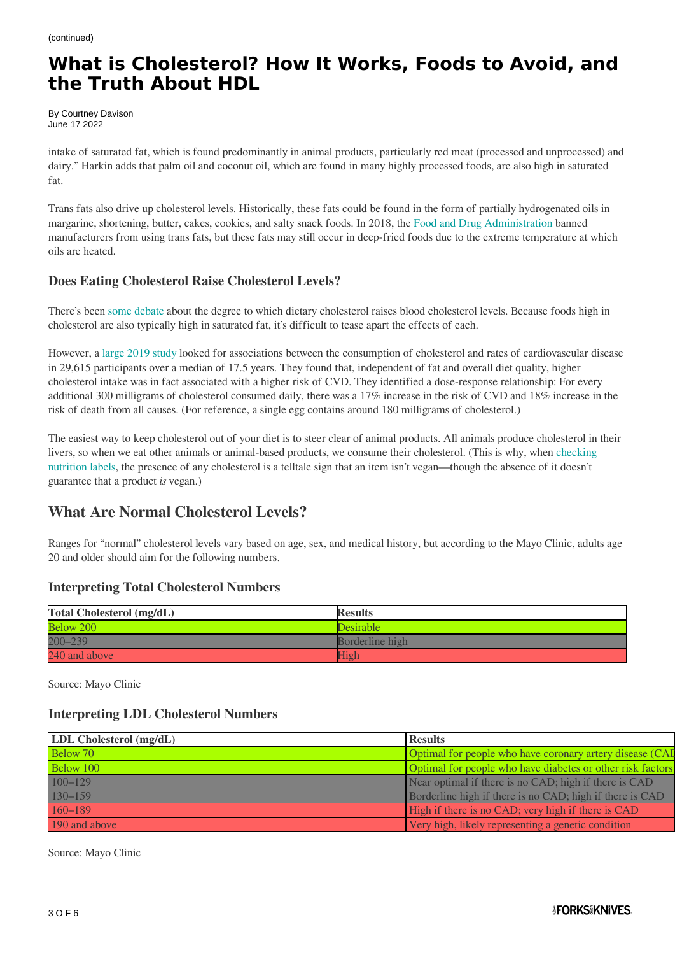By Courtney Davison June 17 2022

intake of saturated fat, which is found predominantly in animal products, particularly red meat (processed and unprocessed) and dairy." Harkin adds that palm oil and coconut oil, which are found in many highly processed foods, are also high in saturated fat.

Trans fats also drive up cholesterol levels. Historically, these fats could be found in the form of partially hydrogenated oils in margarine, shortening, butter, cakes, cookies, and salty snack foods. In 2018, the [Food and Drug Administration](https://www.fda.gov/food/food-additives-petitions/trans-fat) banned manufacturers from using trans fats, but these fats may still occur in deep-fried foods due to the extreme temperature at which oils are heated.

### **Does Eating Cholesterol Raise Cholesterol Levels?**

There's been [some debate](https://www.ahajournals.org/doi/10.1161/CIR.0000000000000743) about the degree to which dietary cholesterol raises blood cholesterol levels. Because foods high in cholesterol are also typically high in saturated fat, it's difficult to tease apart the effects of each.

However, a [large 2019 study](https://www.forksoverknives.com/wellness/are-eggs-bad-for-you-new-study-2019-jama/) looked for associations between the consumption of cholesterol and rates of cardiovascular disease in 29,615 participants over a median of 17.5 years. They found that, independent of fat and overall diet quality, higher cholesterol intake was in fact associated with a higher risk of CVD. They identified a dose-response relationship: For every additional 300 milligrams of cholesterol consumed daily, there was a 17% increase in the risk of CVD and 18% increase in the risk of death from all causes. (For reference, a single egg contains around 180 milligrams of cholesterol.)

The easiest way to keep cholesterol out of your diet is to steer clear of animal products. All animals produce cholesterol in their livers, so when we eat other animals or animal-based products, we consume their cholesterol. (This is why, when [checking](https://www.forksoverknives.com/wellness/reading-food-packages-and-nutrition-labels-four-tips-for-savvy-shopping/) [nutrition labels,](https://www.forksoverknives.com/wellness/reading-food-packages-and-nutrition-labels-four-tips-for-savvy-shopping/) the presence of any cholesterol is a telltale sign that an item isn't vegan—though the absence of it doesn't guarantee that a product *is* vegan.)

## **What Are Normal Cholesterol Levels?**

Ranges for "normal" cholesterol levels vary based on age, sex, and medical history, but according to the Mayo Clinic, adults age 20 and older should aim for the following numbers.

#### **Interpreting Total Cholesterol Numbers**

| <b>Total Cholesterol (mg/dL)</b> | <b>Results</b>   |
|----------------------------------|------------------|
| Below 200                        | <b>Desirable</b> |
| 200-239                          | Borderline high  |
| 240 and above                    | High             |

Source: Mayo Clinic

### **Interpreting LDL Cholesterol Numbers**

| LDL Cholesterol (mg/dL) | <b>Results</b>                                             |
|-------------------------|------------------------------------------------------------|
| Below 70                | Optimal for people who have coronary artery disease (CAI   |
| Below 100               | Optimal for people who have diabetes or other risk factors |
| $100 - 129$             | Near optimal if there is no CAD; high if there is CAD.     |
| $130 - 159$             | Borderline high if there is no CAD; high if there is CAD   |
| $160 - 189$             | High if there is no CAD; very high if there is CAD         |
| 190 and above           | Very high, likely representing a genetic condition         |

Source: Mayo Clinic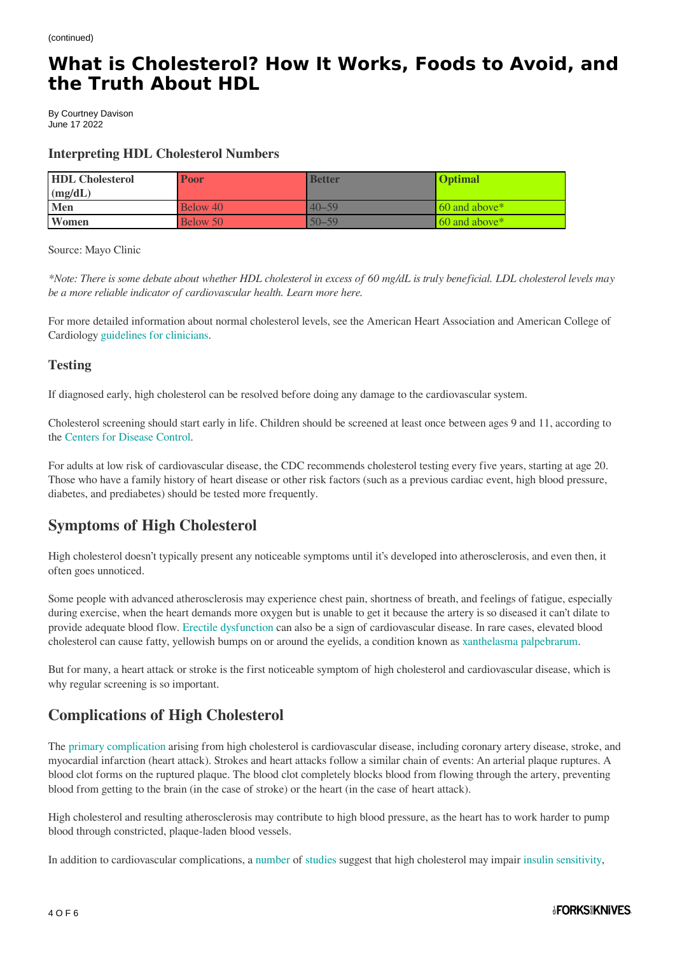By Courtney Davison June 17 2022

#### **Interpreting HDL Cholesterol Numbers**

| <b>HDL</b> Cholesterol | <b>Poor</b> | <b>Better</b> | <b>Optimal</b>       |
|------------------------|-------------|---------------|----------------------|
| (mg/dL)                |             |               |                      |
| <b>Men</b>             | Below 40    | $40 - 59$     | $\sim$ 60 and above* |
| Women                  | Below 50    | $50 - 59$     | $\sim 60$ and above* |

Source: Mayo Clinic

*\*Note: There is some debate about whether HDL cholesterol in excess of 60 mg/dL is truly beneficial. LDL cholesterol levels may be a more reliable indicator of cardiovascular health. Learn more here.*

For more detailed information about normal cholesterol levels, see the American Heart Association and American College of Cardiology [guidelines for clinicians.](https://www.ahajournals.org/doi/pdf/10.1161/CIR.0000000000000625)

#### **Testing**

If diagnosed early, high cholesterol can be resolved before doing any damage to the cardiovascular system.

Cholesterol screening should start early in life. Children should be screened at least once between ages 9 and 11, according to the [Centers for Disease Control](https://www.cdc.gov/cholesterol/cholesterol_screening.htm).

For adults at low risk of cardiovascular disease, the CDC recommends cholesterol testing every five years, starting at age 20. Those who have a family history of heart disease or other risk factors (such as a previous cardiac event, high blood pressure, diabetes, and prediabetes) should be tested more frequently.

## **Symptoms of High Cholesterol**

High cholesterol doesn't typically present any noticeable symptoms until it's developed into atherosclerosis, and even then, it often goes unnoticed.

Some people with advanced atherosclerosis may experience chest pain, shortness of breath, and feelings of fatigue, especially during exercise, when the heart demands more oxygen but is unable to get it because the artery is so diseased it can't dilate to provide adequate blood flow. [Erectile dysfunction](https://www.forksoverknives.com/wellness/what-causes-erectile-dysfunction-how-reversed/) can also be a sign of cardiovascular disease. In rare cases, elevated blood cholesterol can cause fatty, yellowish bumps on or around the eyelids, a condition known as [xanthelasma palpebrarum.](https://www.ncbi.nlm.nih.gov/pmc/articles/PMC5739544/)

But for many, a heart attack or stroke is the first noticeable symptom of high cholesterol and cardiovascular disease, which is why regular screening is so important.

# **Complications of High Cholesterol**

The [primary complication](https://www.ncbi.nlm.nih.gov/pmc/articles/PMC3658954) arising from high cholesterol is cardiovascular disease, including coronary artery disease, stroke, and myocardial infarction (heart attack). Strokes and heart attacks follow a similar chain of events: An arterial plaque ruptures. A blood clot forms on the ruptured plaque. The blood clot completely blocks blood from flowing through the artery, preventing blood from getting to the brain (in the case of stroke) or the heart (in the case of heart attack).

High cholesterol and resulting atherosclerosis may contribute to high blood pressure, as the heart has to work harder to pump blood through constricted, plaque-laden blood vessels.

In addition to cardiovascular complications, a [number](https://diabetesjournals.org/diabetes/article/56/9/2328/12651/Direct-Effect-of-Cholesterol-on-Insulin-SecretionA) of [studies](https://onlinelibrary.wiley.com/doi/10.1111/j.2040-1124.2012.00200.x) suggest that high cholesterol may impair [insulin sensitivity,](https://www.forksoverknives.com/wellness/insulin-resistance-strong-predictor-disease-heres-need-know/)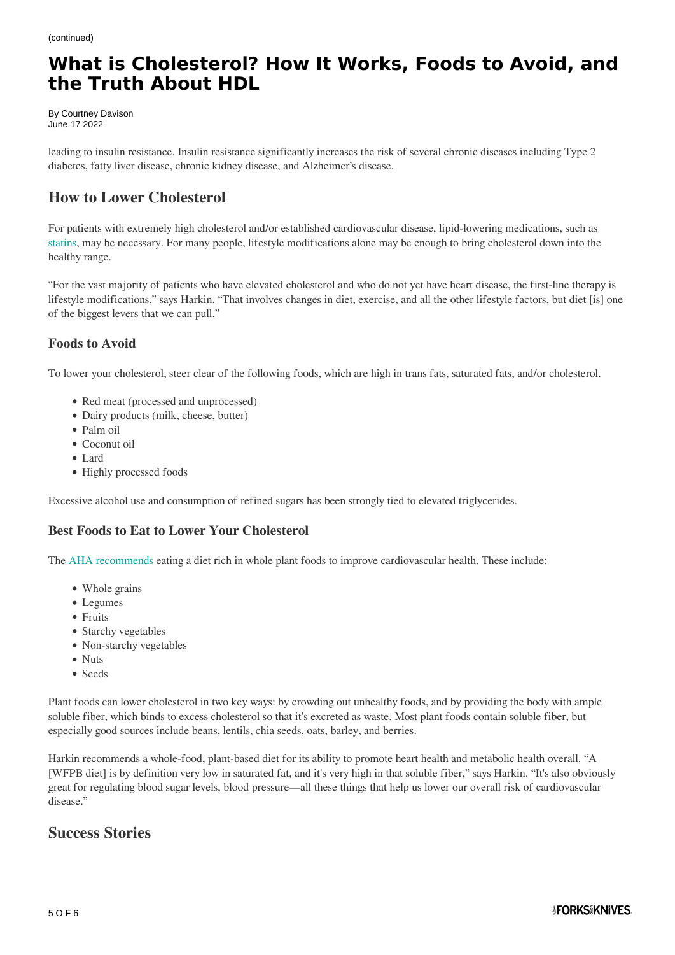By Courtney Davison June 17 2022

leading to insulin resistance. Insulin resistance significantly increases the risk of several chronic diseases including Type 2 diabetes, fatty liver disease, chronic kidney disease, and Alzheimer's disease.

# **How to Lower Cholesterol**

For patients with extremely high cholesterol and/or established cardiovascular disease, lipid-lowering medications, such as [statins,](https://www.forksoverknives.com/wellness/who-should-take-cholesterol-lowering-statins-everyone-or-no-one/) may be necessary. For many people, lifestyle modifications alone may be enough to bring cholesterol down into the healthy range.

"For the vast majority of patients who have elevated cholesterol and who do not yet have heart disease, the first-line therapy is lifestyle modifications," says Harkin. "That involves changes in diet, exercise, and all the other lifestyle factors, but diet [is] one of the biggest levers that we can pull."

### **Foods to Avoid**

To lower your cholesterol, steer clear of the following foods, which are high in trans fats, saturated fats, and/or cholesterol.

- Red meat (processed and unprocessed)
- Dairy products (milk, cheese, butter)
- Palm oil
- Coconut oil
- Lard
- Highly processed foods

Excessive alcohol use and consumption of refined sugars has been strongly tied to elevated triglycerides.

#### **Best Foods to Eat to Lower Your Cholesterol**

The [AHA recommends](https://www.ahajournals.org/doi/10.1161/CIR.0000000000001031) eating a diet rich in whole plant foods to improve cardiovascular health. These include:

- Whole grains
- Legumes
- Fruits
- Starchy vegetables
- Non-starchy vegetables
- Nuts
- Seeds

Plant foods can lower cholesterol in two key ways: by crowding out unhealthy foods, and by providing the body with ample soluble fiber, which binds to excess cholesterol so that it's excreted as waste. Most plant foods contain soluble fiber, but especially good sources include beans, lentils, chia seeds, oats, barley, and berries.

Harkin recommends a whole-food, plant-based diet for its ability to promote heart health and metabolic health overall. "A [WFPB diet] is by definition very low in saturated fat, and it's very high in that soluble fiber," says Harkin. "It's also obviously great for regulating blood sugar levels, blood pressure—all these things that help us lower our overall risk of cardiovascular disease."

## **Success Stories**